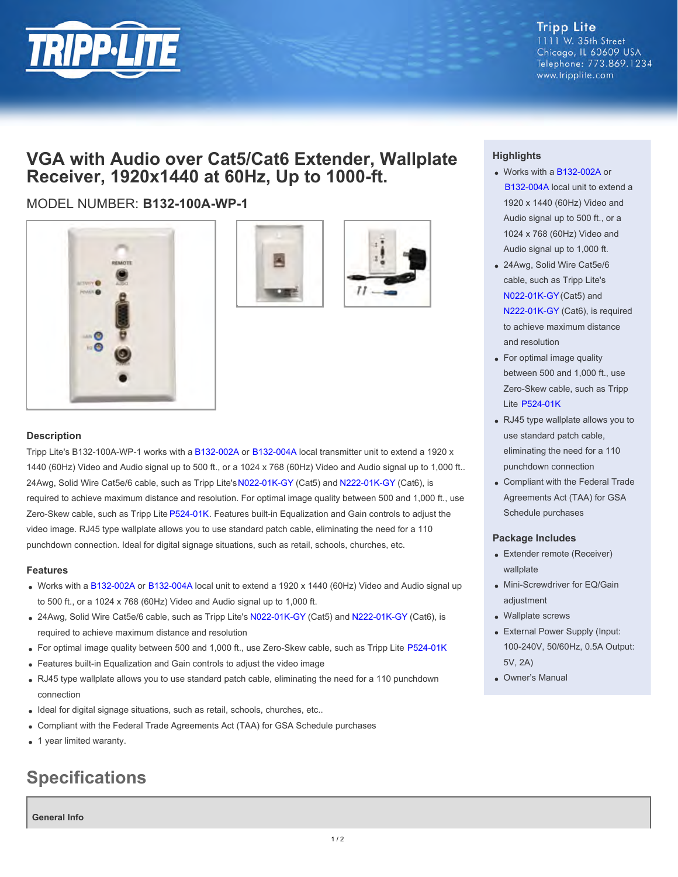

**Tripp Lite** 1111 W. 35th Street Chicago, IL 60609 USA Telephone: 773.869.1234 www.tripplite.com

## **VGA with Audio over Cat5/Cat6 Extender, Wallplate Receiver, 1920x1440 at 60Hz, Up to 1000-ft.**

## MODEL NUMBER: **B132-100A-WP-1**







#### **Description**

Tripp Lite's B132-100A-WP-1 works with a [B132-002A](http://www.tripplite.com/en/products/model.cfm?txtmodelid=4617) or [B132-004A](http://www.tripplite.com/en/products/model.cfm?txtseriesid=787&txtmodelid=4292) local transmitter unit to extend a 1920 x 1440 (60Hz) Video and Audio signal up to 500 ft., or a 1024 x 768 (60Hz) Video and Audio signal up to 1,000 ft.. 24Awg, Solid Wire Cat5e/6 cable, such as Tripp Lite's [N022-01K-GY](http://www.tripplite.com/en/products/model.cfm?txtmodelid=2140) (Cat5) and [N222-01K-GY](http://www.tripplite.com/en/products/model.cfm?txtmodelid=2523) (Cat6), is required to achieve maximum distance and resolution. For optimal image quality between 500 and 1,000 ft., use Zero-Skew cable, such as Tripp Lite [P524-01K](http://www.tripplite.com/en/products/model.cfm?txtmodelid=4209). Features built-in Equalization and Gain controls to adjust the video image. RJ45 type wallplate allows you to use standard patch cable, eliminating the need for a 110 punchdown connection. Ideal for digital signage situations, such as retail, schools, churches, etc.

#### **Features**

- Works with a [B132-002A](http://www.tripplite.com/en/products/model.cfm?txtmodelid=4617) or [B132-004A](http://www.tripplite.com/en/products/model.cfm?txtseriesid=787&txtmodelid=4292) local unit to extend a 1920 x 1440 (60Hz) Video and Audio signal up to 500 ft., or a 1024 x 768 (60Hz) Video and Audio signal up to 1,000 ft.
- 24Awg, Solid Wire Cat5e/6 cable, such as Tripp Lite's [N022-01K-GY](http://www.tripplite.com/en/products/model.cfm?txtmodelid=2140) (Cat5) and [N222-01K-GY](http://www.tripplite.com/en/products/model.cfm?txtmodelid=2523) (Cat6), is required to achieve maximum distance and resolution
- For optimal image quality between 500 and 1,000 ft., use Zero-Skew cable, such as Tripp Lite [P524-01K](http://www.tripplite.com/en/products/model.cfm?txtmodelid=4209)
- Features built-in Equalization and Gain controls to adjust the video image
- RJ45 type wallplate allows you to use standard patch cable, eliminating the need for a 110 punchdown connection
- Ideal for digital signage situations, such as retail, schools, churches, etc..
- Compliant with the Federal Trade Agreements Act (TAA) for GSA Schedule purchases
- 1 year limited waranty.

# **Specifications**

**General Info**

### **Highlights**

- Works with a [B132-002A](http://www.tripplite.com/en/products/model.cfm?txtmodelid=4617) or [B132-004A](http://www.tripplite.com/en/products/model.cfm?txtseriesid=787&txtmodelid=4292) local unit to extend a 1920 x 1440 (60Hz) Video and Audio signal up to 500 ft., or a 1024 x 768 (60Hz) Video and Audio signal up to 1,000 ft.
- 24Awg, Solid Wire Cat5e/6 cable, such as Tripp Lite's [N022-01K-GY](http://www.tripplite.com/en/products/model.cfm?txtmodelid=2140) (Cat5) and [N222-01K-GY](http://www.tripplite.com/en/products/model.cfm?txtmodelid=2523) (Cat6), is required to achieve maximum distance and resolution
- For optimal image quality between 500 and 1,000 ft., use Zero-Skew cable, such as Tripp Lite [P524-01K](http://www.tripplite.com/en/products/model.cfm?txtmodelid=4209)
- RJ45 type wallplate allows you to use standard patch cable, eliminating the need for a 110 punchdown connection
- Compliant with the Federal Trade Agreements Act (TAA) for GSA Schedule purchases

#### **Package Includes**

- Extender remote (Receiver) wallplate
- Mini-Screwdriver for EQ/Gain adjustment
- Wallplate screws
- External Power Supply (Input: 100-240V, 50/60Hz, 0.5A Output: 5V, 2A)
- Owner's Manual